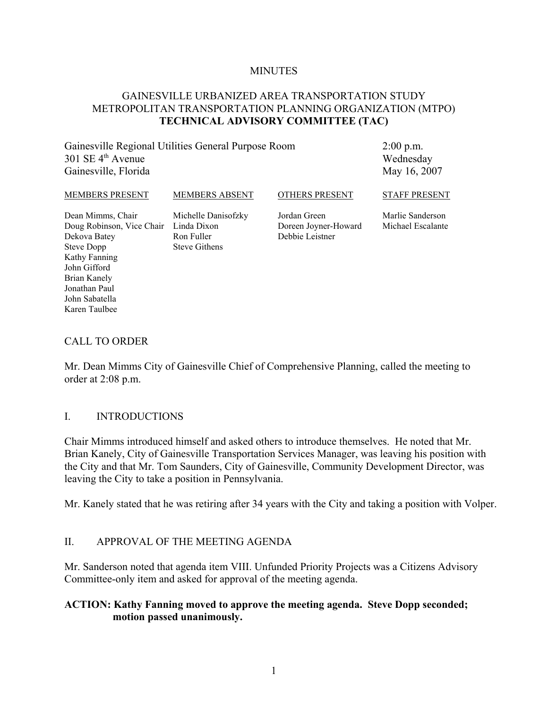#### **MINUTES**

#### GAINESVILLE URBANIZED AREA TRANSPORTATION STUDY METROPOLITAN TRANSPORTATION PLANNING ORGANIZATION (MTPO) **TECHNICAL ADVISORY COMMITTEE (TAC)**

Gainesville Regional Utilities General Purpose Room  $301$  SE  $4<sup>th</sup>$  Avenue Gainesville, Florida

2:00 p.m. Wednesday May 16, 2007

| MEMBERS PRESENT                                                                                                      | <b>MEMBERS ABSENT</b>                                                    | <b>OTHERS PRESENT</b>                                   | <b>STAFF PRESENT</b>                  |
|----------------------------------------------------------------------------------------------------------------------|--------------------------------------------------------------------------|---------------------------------------------------------|---------------------------------------|
| Dean Mimms, Chair<br>Doug Robinson, Vice Chair<br>Dekova Batey<br><b>Steve Dopp</b><br>Kathy Fanning<br>John Gifford | Michelle Danisofzky<br>Linda Dixon<br>Ron Fuller<br><b>Steve Githens</b> | Jordan Green<br>Doreen Joyner-Howard<br>Debbie Leistner | Marlie Sanderson<br>Michael Escalante |

#### CALL TO ORDER

Brian Kanely Jonathan Paul John Sabatella Karen Taulbee

Mr. Dean Mimms City of Gainesville Chief of Comprehensive Planning, called the meeting to order at 2:08 p.m.

#### I. INTRODUCTIONS

Chair Mimms introduced himself and asked others to introduce themselves. He noted that Mr. Brian Kanely, City of Gainesville Transportation Services Manager, was leaving his position with the City and that Mr. Tom Saunders, City of Gainesville, Community Development Director, was leaving the City to take a position in Pennsylvania.

Mr. Kanely stated that he was retiring after 34 years with the City and taking a position with Volper.

#### II. APPROVAL OF THE MEETING AGENDA

Mr. Sanderson noted that agenda item VIII. Unfunded Priority Projects was a Citizens Advisory Committee-only item and asked for approval of the meeting agenda.

#### **ACTION: Kathy Fanning moved to approve the meeting agenda. Steve Dopp seconded; motion passed unanimously.**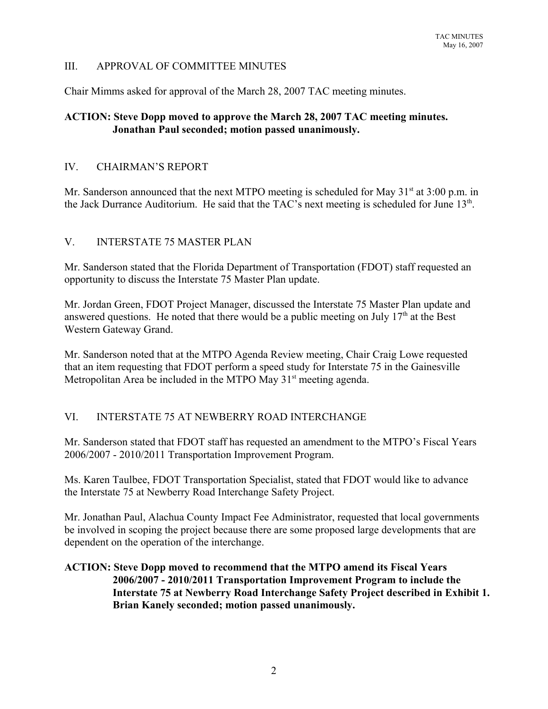## III. APPROVAL OF COMMITTEE MINUTES

Chair Mimms asked for approval of the March 28, 2007 TAC meeting minutes.

## **ACTION: Steve Dopp moved to approve the March 28, 2007 TAC meeting minutes. Jonathan Paul seconded; motion passed unanimously.**

## IV. CHAIRMAN'S REPORT

Mr. Sanderson announced that the next MTPO meeting is scheduled for May  $31<sup>st</sup>$  at  $3:00$  p.m. in the Jack Durrance Auditorium. He said that the TAC's next meeting is scheduled for June  $13<sup>th</sup>$ .

## V. INTERSTATE 75 MASTER PLAN

Mr. Sanderson stated that the Florida Department of Transportation (FDOT) staff requested an opportunity to discuss the Interstate 75 Master Plan update.

Mr. Jordan Green, FDOT Project Manager, discussed the Interstate 75 Master Plan update and answered questions. He noted that there would be a public meeting on July  $17<sup>th</sup>$  at the Best Western Gateway Grand.

Mr. Sanderson noted that at the MTPO Agenda Review meeting, Chair Craig Lowe requested that an item requesting that FDOT perform a speed study for Interstate 75 in the Gainesville Metropolitan Area be included in the MTPO May  $31<sup>st</sup>$  meeting agenda.

# VI. INTERSTATE 75 AT NEWBERRY ROAD INTERCHANGE

Mr. Sanderson stated that FDOT staff has requested an amendment to the MTPO's Fiscal Years 2006/2007 - 2010/2011 Transportation Improvement Program.

Ms. Karen Taulbee, FDOT Transportation Specialist, stated that FDOT would like to advance the Interstate 75 at Newberry Road Interchange Safety Project.

Mr. Jonathan Paul, Alachua County Impact Fee Administrator, requested that local governments be involved in scoping the project because there are some proposed large developments that are dependent on the operation of the interchange.

### **ACTION: Steve Dopp moved to recommend that the MTPO amend its Fiscal Years 2006/2007 - 2010/2011 Transportation Improvement Program to include the Interstate 75 at Newberry Road Interchange Safety Project described in Exhibit 1. Brian Kanely seconded; motion passed unanimously.**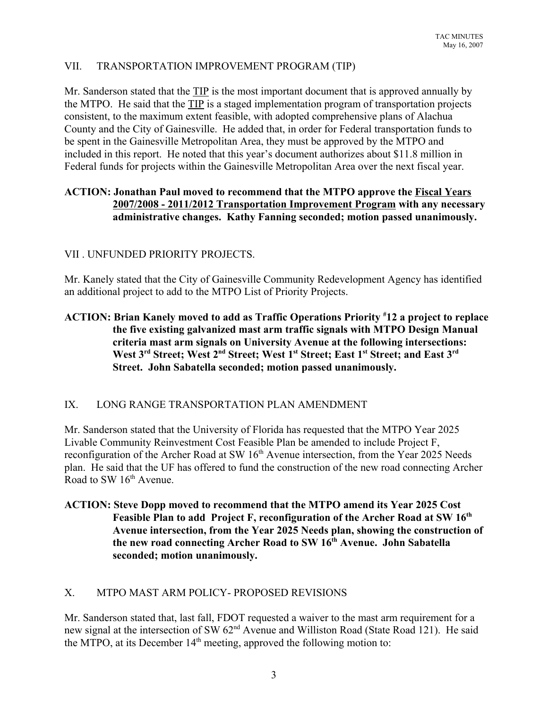# VII. TRANSPORTATION IMPROVEMENT PROGRAM (TIP)

Mr. Sanderson stated that the TIP is the most important document that is approved annually by the MTPO. He said that the TIP is a staged implementation program of transportation projects consistent, to the maximum extent feasible, with adopted comprehensive plans of Alachua County and the City of Gainesville. He added that, in order for Federal transportation funds to be spent in the Gainesville Metropolitan Area, they must be approved by the MTPO and included in this report. He noted that this year's document authorizes about \$11.8 million in Federal funds for projects within the Gainesville Metropolitan Area over the next fiscal year.

### **ACTION: Jonathan Paul moved to recommend that the MTPO approve the Fiscal Years 2007/2008 - 2011/2012 Transportation Improvement Program with any necessary administrative changes. Kathy Fanning seconded; motion passed unanimously.**

## VII . UNFUNDED PRIORITY PROJECTS.

Mr. Kanely stated that the City of Gainesville Community Redevelopment Agency has identified an additional project to add to the MTPO List of Priority Projects.

## **ACTION: Brian Kanely moved to add as Traffic Operations Priority # 12 a project to replace the five existing galvanized mast arm traffic signals with MTPO Design Manual criteria mast arm signals on University Avenue at the following intersections:** West 3<sup>rd</sup> Street; West 2<sup>nd</sup> Street; West 1<sup>st</sup> Street; East 1<sup>st</sup> Street; and East 3<sup>rd</sup> **Street. John Sabatella seconded; motion passed unanimously.**

# IX. LONG RANGE TRANSPORTATION PLAN AMENDMENT

Mr. Sanderson stated that the University of Florida has requested that the MTPO Year 2025 Livable Community Reinvestment Cost Feasible Plan be amended to include Project F, reconfiguration of the Archer Road at SW 16<sup>th</sup> Avenue intersection, from the Year 2025 Needs plan. He said that the UF has offered to fund the construction of the new road connecting Archer Road to SW 16<sup>th</sup> Avenue.

## **ACTION: Steve Dopp moved to recommend that the MTPO amend its Year 2025 Cost** Feasible Plan to add Project F, reconfiguration of the Archer Road at SW 16<sup>th</sup> **Avenue intersection, from the Year 2025 Needs plan, showing the construction of the new road connecting Archer Road to SW 16th Avenue. John Sabatella seconded; motion unanimously.**

# X. MTPO MAST ARM POLICY- PROPOSED REVISIONS

Mr. Sanderson stated that, last fall, FDOT requested a waiver to the mast arm requirement for a new signal at the intersection of SW 62<sup>nd</sup> Avenue and Williston Road (State Road 121). He said the MTPO, at its December  $14<sup>th</sup>$  meeting, approved the following motion to: